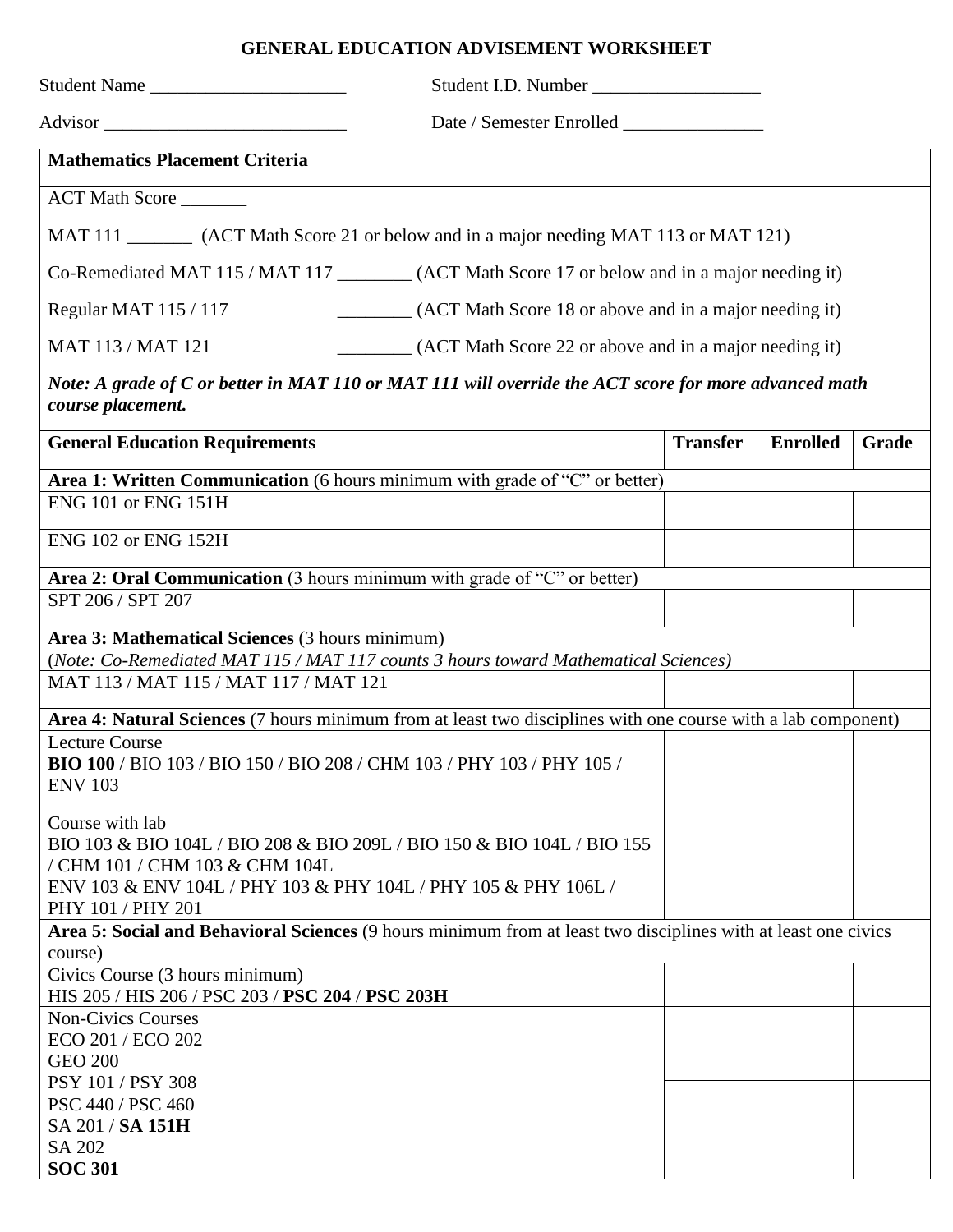## **GENERAL EDUCATION ADVISEMENT WORKSHEET**

| Student Name                                                                                                                             |                                                                                                                |                 |                 |       |  |  |
|------------------------------------------------------------------------------------------------------------------------------------------|----------------------------------------------------------------------------------------------------------------|-----------------|-----------------|-------|--|--|
| Advisor                                                                                                                                  | Date / Semester Enrolled                                                                                       |                 |                 |       |  |  |
| <b>Mathematics Placement Criteria</b>                                                                                                    |                                                                                                                |                 |                 |       |  |  |
| ACT Math Score                                                                                                                           |                                                                                                                |                 |                 |       |  |  |
| MAT 111 __________ (ACT Math Score 21 or below and in a major needing MAT 113 or MAT 121)                                                |                                                                                                                |                 |                 |       |  |  |
|                                                                                                                                          | Co-Remediated MAT 115 / MAT 117 _________ (ACT Math Score 17 or below and in a major needing it)               |                 |                 |       |  |  |
| Regular MAT 115 / 117                                                                                                                    | (ACT Math Score 18 or above and in a major needing it)                                                         |                 |                 |       |  |  |
| MAT 113 / MAT 121                                                                                                                        | (ACT Math Score 22 or above and in a major needing it)                                                         |                 |                 |       |  |  |
| Note: A grade of C or better in MAT 110 or MAT 111 will override the ACT score for more advanced math<br>course placement.               |                                                                                                                |                 |                 |       |  |  |
| <b>General Education Requirements</b>                                                                                                    |                                                                                                                | <b>Transfer</b> | <b>Enrolled</b> | Grade |  |  |
|                                                                                                                                          | Area 1: Written Communication (6 hours minimum with grade of "C" or better)                                    |                 |                 |       |  |  |
| <b>ENG 101 or ENG 151H</b>                                                                                                               |                                                                                                                |                 |                 |       |  |  |
| <b>ENG 102 or ENG 152H</b>                                                                                                               |                                                                                                                |                 |                 |       |  |  |
|                                                                                                                                          | Area 2: Oral Communication (3 hours minimum with grade of "C" or better)                                       |                 |                 |       |  |  |
| SPT 206 / SPT 207                                                                                                                        |                                                                                                                |                 |                 |       |  |  |
| Area 3: Mathematical Sciences (3 hours minimum)<br>(Note: Co-Remediated MAT 115 / MAT 117 counts 3 hours toward Mathematical Sciences)   |                                                                                                                |                 |                 |       |  |  |
| MAT 113 / MAT 115 / MAT 117 / MAT 121                                                                                                    |                                                                                                                |                 |                 |       |  |  |
|                                                                                                                                          | Area 4: Natural Sciences (7 hours minimum from at least two disciplines with one course with a lab component)  |                 |                 |       |  |  |
| <b>Lecture Course</b><br>BIO 100 / BIO 103 / BIO 150 / BIO 208 / CHM 103 / PHY 103 / PHY 105 /<br><b>ENV 103</b>                         |                                                                                                                |                 |                 |       |  |  |
| Course with lab<br>/ CHM 101 / CHM 103 & CHM 104L<br>ENV 103 & ENV 104L / PHY 103 & PHY 104L / PHY 105 & PHY 106L /<br>PHY 101 / PHY 201 | BIO 103 & BIO 104L / BIO 208 & BIO 209L / BIO 150 & BIO 104L / BIO 155                                         |                 |                 |       |  |  |
|                                                                                                                                          | Area 5: Social and Behavioral Sciences (9 hours minimum from at least two disciplines with at least one civics |                 |                 |       |  |  |
| course)                                                                                                                                  |                                                                                                                |                 |                 |       |  |  |
| Civics Course (3 hours minimum)<br>HIS 205 / HIS 206 / PSC 203 / PSC 204 / PSC 203H                                                      |                                                                                                                |                 |                 |       |  |  |
| <b>Non-Civics Courses</b><br>ECO 201 / ECO 202<br><b>GEO 200</b>                                                                         |                                                                                                                |                 |                 |       |  |  |
| PSY 101 / PSY 308<br>PSC 440 / PSC 460                                                                                                   |                                                                                                                |                 |                 |       |  |  |
| SA 201 / SA 151H                                                                                                                         |                                                                                                                |                 |                 |       |  |  |
| SA 202                                                                                                                                   |                                                                                                                |                 |                 |       |  |  |
| <b>SOC 301</b>                                                                                                                           |                                                                                                                |                 |                 |       |  |  |